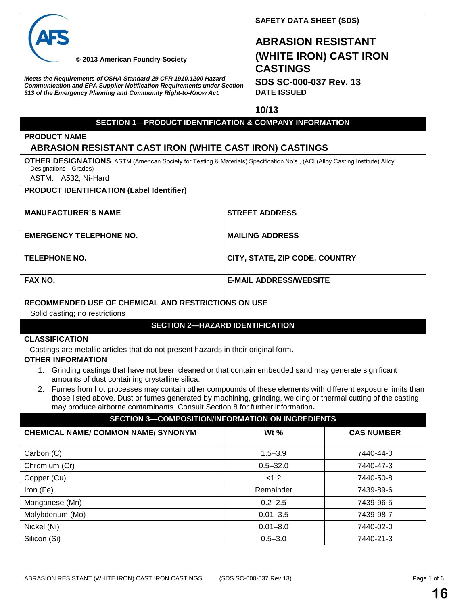|                                                                                                                                                       | <b>SAFETY DATA SHEET (SDS)</b>            |  |  |  |
|-------------------------------------------------------------------------------------------------------------------------------------------------------|-------------------------------------------|--|--|--|
|                                                                                                                                                       | <b>ABRASION RESISTANT</b>                 |  |  |  |
| © 2013 American Foundry Society                                                                                                                       | (WHITE IRON) CAST IRON<br><b>CASTINGS</b> |  |  |  |
| Meets the Requirements of OSHA Standard 29 CFR 1910.1200 Hazard<br><b>Communication and EPA Supplier Notification Requirements under Section</b>      | SDS SC-000-037 Rev. 13                    |  |  |  |
| 313 of the Emergency Planning and Community Right-to-Know Act.                                                                                        | <b>DATE ISSUED</b>                        |  |  |  |
|                                                                                                                                                       |                                           |  |  |  |
|                                                                                                                                                       | 10/13                                     |  |  |  |
| <b>SECTION 1-PRODUCT IDENTIFICATION &amp; COMPANY INFORMATION</b>                                                                                     |                                           |  |  |  |
| <b>PRODUCT NAME</b>                                                                                                                                   |                                           |  |  |  |
| <b>ABRASION RESISTANT CAST IRON (WHITE CAST IRON) CASTINGS</b>                                                                                        |                                           |  |  |  |
| OTHER DESIGNATIONS: ASTM (American Society for Testing & Materials) Specification No's., (ACI (Alloy Casting Institute) Alloy<br>Designations-Grades) |                                           |  |  |  |
| ASTM: A532; Ni-Hard                                                                                                                                   |                                           |  |  |  |
| <b>PRODUCT IDENTIFICATION (Label Identifier)</b>                                                                                                      |                                           |  |  |  |
|                                                                                                                                                       |                                           |  |  |  |
| <b>MANUFACTURER'S NAME</b>                                                                                                                            | <b>STREET ADDRESS</b>                     |  |  |  |

|                                | 9111211700                     |
|--------------------------------|--------------------------------|
| <b>EMERGENCY TELEPHONE NO.</b> | <b>MAILING ADDRESS</b>         |
| <b>TELEPHONE NO.</b>           | CITY, STATE, ZIP CODE, COUNTRY |
| FAX NO.                        | <b>E-MAIL ADDRESS/WEBSITE</b>  |

# **RECOMMENDED USE OF CHEMICAL AND RESTRICTIONS ON USE**

Solid casting; no restrictions

# **SECTION 2—HAZARD IDENTIFICATION**

### **CLASSIFICATION**

Castings are metallic articles that do not present hazards in their original form**.**

### **OTHER INFORMATION**

- 1. Grinding castings that have not been cleaned or that contain embedded sand may generate significant amounts of dust containing crystalline silica.
- 2. Fumes from hot processes may contain other compounds of these elements with different exposure limits than those listed above. Dust or fumes generated by machining, grinding, welding or thermal cutting of the casting may produce airborne contaminants. Consult Section 8 for further information**.**

| <b>SECTION 3-COMPOSITION/INFORMATION ON INGREDIENTS</b> |                     |                   |  |
|---------------------------------------------------------|---------------------|-------------------|--|
| <b>CHEMICAL NAME/ COMMON NAME/ SYNONYM</b>              | W <sub>t</sub> $\%$ | <b>CAS NUMBER</b> |  |
| Carbon (C)                                              | $1.5 - 3.9$         | 7440-44-0         |  |
| Chromium (Cr)                                           | $0.5 - 32.0$        | 7440-47-3         |  |
| Copper (Cu)                                             | < 1.2               | 7440-50-8         |  |
| Iron (Fe)                                               | Remainder           | 7439-89-6         |  |
| Manganese (Mn)                                          | $0.2 - 2.5$         | 7439-96-5         |  |
| Molybdenum (Mo)                                         | $0.01 - 3.5$        | 7439-98-7         |  |
| Nickel (Ni)                                             | $0.01 - 8.0$        | 7440-02-0         |  |
| Silicon (Si)                                            | $0.5 - 3.0$         | 7440-21-3         |  |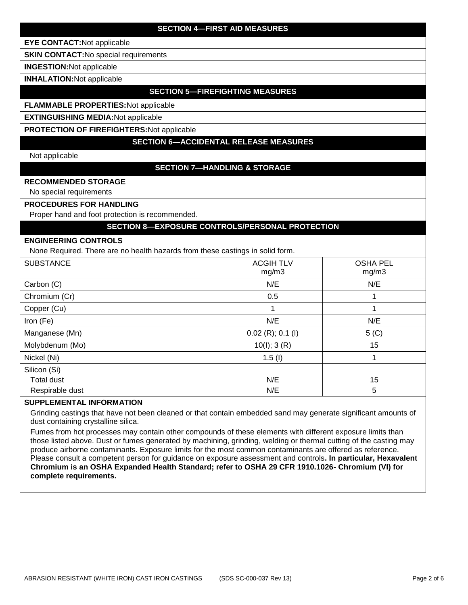# **SECTION 4—FIRST AID MEASURES**

**EYE CONTACT:**Not applicable

**SKIN CONTACT:**No special requirements

**INGESTION:**Not applicable

**INHALATION:**Not applicable

### **SECTION 5—FIREFIGHTING MEASURES**

### **FLAMMABLE PROPERTIES:**Not applicable

**EXTINGUISHING MEDIA:**Not applicable

**PROTECTION OF FIREFIGHTERS:**Not applicable

# **SECTION 6—ACCIDENTAL RELEASE MEASURES**

Not applicable

# **SECTION 7—HANDLING & STORAGE**

### **RECOMMENDED STORAGE**

No special requirements

#### **PROCEDURES FOR HANDLING**

Proper hand and foot protection is recommended.

## **SECTION 8—EXPOSURE CONTROLS/PERSONAL PROTECTION**

#### **ENGINEERING CONTROLS**

None Required. There are no health hazards from these castings in solid form.

|                   | ັ                         |                          |
|-------------------|---------------------------|--------------------------|
| <b>SUBSTANCE</b>  | <b>ACGIH TLV</b><br>mg/m3 | <b>OSHA PEL</b><br>mg/m3 |
| Carbon (C)        | N/E                       | N/E                      |
| Chromium (Cr)     | 0.5                       |                          |
| Copper (Cu)       |                           |                          |
| Iron (Fe)         | N/E                       | N/E                      |
| Manganese (Mn)    | $0.02$ (R); 0.1 (I)       | $5($ C $)$               |
| Molybdenum (Mo)   | 10(l); 3(R)               | 15                       |
| Nickel (Ni)       | 1.5(l)                    |                          |
| Silicon (Si)      |                           |                          |
| <b>Total dust</b> | N/E                       | 15                       |
| Respirable dust   | N/E                       | 5                        |

#### **SUPPLEMENTAL INFORMATION**

Grinding castings that have not been cleaned or that contain embedded sand may generate significant amounts of dust containing crystalline silica.

Fumes from hot processes may contain other compounds of these elements with different exposure limits than those listed above. Dust or fumes generated by machining, grinding, welding or thermal cutting of the casting may produce airborne contaminants. Exposure limits for the most common contaminants are offered as reference. Please consult a competent person for guidance on exposure assessment and controls**. In particular, Hexavalent Chromium is an OSHA Expanded Health Standard; refer to OSHA 29 CFR 1910.1026- Chromium (VI) for complete requirements.**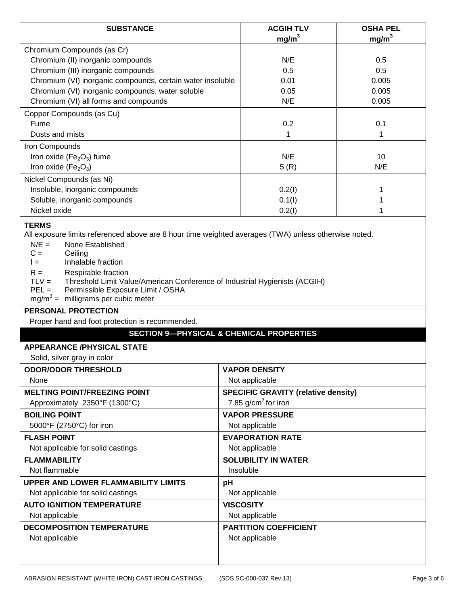| <b>SUBSTANCE</b>                                                                                                                                                                                                                                                                                                                                                                 | <b>ACGIH TLV</b><br>mg/m <sup>3</sup>                               | <b>OSHA PEL</b><br>mg/m <sup>3</sup> |  |
|----------------------------------------------------------------------------------------------------------------------------------------------------------------------------------------------------------------------------------------------------------------------------------------------------------------------------------------------------------------------------------|---------------------------------------------------------------------|--------------------------------------|--|
| Chromium Compounds (as Cr)                                                                                                                                                                                                                                                                                                                                                       |                                                                     |                                      |  |
| Chromium (II) inorganic compounds                                                                                                                                                                                                                                                                                                                                                | N/E                                                                 | 0.5                                  |  |
| Chromium (III) inorganic compounds                                                                                                                                                                                                                                                                                                                                               | 0.5                                                                 | 0.5                                  |  |
| Chromium (VI) inorganic compounds, certain water insoluble                                                                                                                                                                                                                                                                                                                       | 0.01                                                                | 0.005                                |  |
| Chromium (VI) inorganic compounds, water soluble                                                                                                                                                                                                                                                                                                                                 | 0.05                                                                | 0.005                                |  |
| Chromium (VI) all forms and compounds                                                                                                                                                                                                                                                                                                                                            | N/E                                                                 | 0.005                                |  |
| Copper Compounds (as Cu)                                                                                                                                                                                                                                                                                                                                                         |                                                                     |                                      |  |
| Fume                                                                                                                                                                                                                                                                                                                                                                             | 0.2                                                                 | 0.1                                  |  |
| Dusts and mists                                                                                                                                                                                                                                                                                                                                                                  | 1                                                                   | 1                                    |  |
| Iron Compounds                                                                                                                                                                                                                                                                                                                                                                   |                                                                     |                                      |  |
| Iron oxide ( $Fe2O3$ ) fume                                                                                                                                                                                                                                                                                                                                                      | N/E                                                                 | 10                                   |  |
| Iron oxide ( $Fe2O3$ )                                                                                                                                                                                                                                                                                                                                                           | 5(R)                                                                | N/E                                  |  |
| Nickel Compounds (as Ni)                                                                                                                                                                                                                                                                                                                                                         |                                                                     |                                      |  |
| Insoluble, inorganic compounds                                                                                                                                                                                                                                                                                                                                                   | 0.2(1)                                                              | 1                                    |  |
| Soluble, inorganic compounds                                                                                                                                                                                                                                                                                                                                                     | 0.1(1)                                                              |                                      |  |
| Nickel oxide                                                                                                                                                                                                                                                                                                                                                                     | 0.2(1)                                                              | 1                                    |  |
| $N/E =$<br>None Established<br>$C =$<br>Ceiling<br>Inhalable fraction<br>$l =$<br>$R =$<br>Respirable fraction<br>$TLV =$<br>Threshold Limit Value/American Conference of Industrial Hygienists (ACGIH)<br>$PEL =$<br>Permissible Exposure Limit / OSHA<br>$mg/m3$ = milligrams per cubic meter<br><b>PERSONAL PROTECTION</b><br>Proper hand and foot protection is recommended. |                                                                     |                                      |  |
|                                                                                                                                                                                                                                                                                                                                                                                  | <b>SECTION 9-PHYSICAL &amp; CHEMICAL PROPERTIES</b>                 |                                      |  |
| <b>APPEARANCE/PHYSICAL STATE</b>                                                                                                                                                                                                                                                                                                                                                 |                                                                     |                                      |  |
| Solid, silver gray in color                                                                                                                                                                                                                                                                                                                                                      |                                                                     |                                      |  |
| <b>ODOR/ODOR THRESHOLD</b>                                                                                                                                                                                                                                                                                                                                                       | <b>VAPOR DENSITY</b>                                                |                                      |  |
| None                                                                                                                                                                                                                                                                                                                                                                             | Not applicable                                                      |                                      |  |
| <b>MELTING POINT/FREEZING POINT</b>                                                                                                                                                                                                                                                                                                                                              |                                                                     |                                      |  |
| Approximately 2350°F (1300°C)                                                                                                                                                                                                                                                                                                                                                    | <b>SPECIFIC GRAVITY (relative density)</b><br>7.85 $g/cm3$ for iron |                                      |  |
| <b>BOILING POINT</b>                                                                                                                                                                                                                                                                                                                                                             | <b>VAPOR PRESSURE</b>                                               |                                      |  |
| 5000°F (2750°C) for iron                                                                                                                                                                                                                                                                                                                                                         | Not applicable                                                      |                                      |  |
| <b>FLASH POINT</b>                                                                                                                                                                                                                                                                                                                                                               | <b>EVAPORATION RATE</b>                                             |                                      |  |
| Not applicable for solid castings                                                                                                                                                                                                                                                                                                                                                | Not applicable                                                      |                                      |  |
| <b>FLAMMABILITY</b>                                                                                                                                                                                                                                                                                                                                                              | <b>SOLUBILITY IN WATER</b>                                          |                                      |  |
| Not flammable                                                                                                                                                                                                                                                                                                                                                                    | Insoluble                                                           |                                      |  |
| <b>UPPER AND LOWER FLAMMABILITY LIMITS</b>                                                                                                                                                                                                                                                                                                                                       | pH                                                                  |                                      |  |
| Not applicable for solid castings                                                                                                                                                                                                                                                                                                                                                | Not applicable                                                      |                                      |  |
| <b>AUTO IGNITION TEMPERATURE</b>                                                                                                                                                                                                                                                                                                                                                 | <b>VISCOSITY</b>                                                    |                                      |  |
| Not applicable                                                                                                                                                                                                                                                                                                                                                                   | Not applicable                                                      |                                      |  |
| <b>DECOMPOSITION TEMPERATURE</b>                                                                                                                                                                                                                                                                                                                                                 | <b>PARTITION COEFFICIENT</b>                                        |                                      |  |
| Not applicable                                                                                                                                                                                                                                                                                                                                                                   | Not applicable                                                      |                                      |  |
|                                                                                                                                                                                                                                                                                                                                                                                  |                                                                     |                                      |  |
|                                                                                                                                                                                                                                                                                                                                                                                  |                                                                     |                                      |  |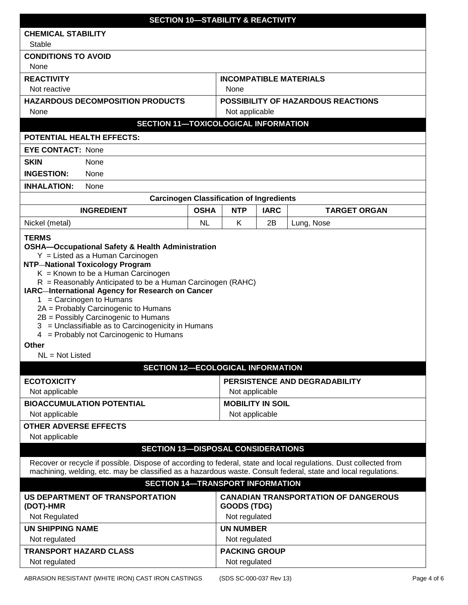| <b>SECTION 10-STABILITY &amp; REACTIVITY</b>                                                                                                                                                                                                                                                                                                                                                                                                                     |                                                                       |                         |             |                                           |             |
|------------------------------------------------------------------------------------------------------------------------------------------------------------------------------------------------------------------------------------------------------------------------------------------------------------------------------------------------------------------------------------------------------------------------------------------------------------------|-----------------------------------------------------------------------|-------------------------|-------------|-------------------------------------------|-------------|
| <b>CHEMICAL STABILITY</b>                                                                                                                                                                                                                                                                                                                                                                                                                                        |                                                                       |                         |             |                                           |             |
| Stable                                                                                                                                                                                                                                                                                                                                                                                                                                                           |                                                                       |                         |             |                                           |             |
| <b>CONDITIONS TO AVOID</b>                                                                                                                                                                                                                                                                                                                                                                                                                                       |                                                                       |                         |             |                                           |             |
| None                                                                                                                                                                                                                                                                                                                                                                                                                                                             |                                                                       |                         |             |                                           |             |
| <b>REACTIVITY</b>                                                                                                                                                                                                                                                                                                                                                                                                                                                |                                                                       |                         |             | <b>INCOMPATIBLE MATERIALS</b>             |             |
| Not reactive                                                                                                                                                                                                                                                                                                                                                                                                                                                     |                                                                       | None                    |             |                                           |             |
| <b>HAZARDOUS DECOMPOSITION PRODUCTS</b>                                                                                                                                                                                                                                                                                                                                                                                                                          |                                                                       |                         |             | <b>POSSIBILITY OF HAZARDOUS REACTIONS</b> |             |
| <b>None</b>                                                                                                                                                                                                                                                                                                                                                                                                                                                      |                                                                       | Not applicable          |             |                                           |             |
| <b>SECTION 11-TOXICOLOGICAL INFORMATION</b>                                                                                                                                                                                                                                                                                                                                                                                                                      |                                                                       |                         |             |                                           |             |
| <b>POTENTIAL HEALTH EFFECTS:</b>                                                                                                                                                                                                                                                                                                                                                                                                                                 |                                                                       |                         |             |                                           |             |
| <b>EYE CONTACT: None</b>                                                                                                                                                                                                                                                                                                                                                                                                                                         |                                                                       |                         |             |                                           |             |
| <b>SKIN</b><br>None                                                                                                                                                                                                                                                                                                                                                                                                                                              |                                                                       |                         |             |                                           |             |
| <b>INGESTION:</b><br>None                                                                                                                                                                                                                                                                                                                                                                                                                                        |                                                                       |                         |             |                                           |             |
| <b>INHALATION:</b><br>None                                                                                                                                                                                                                                                                                                                                                                                                                                       |                                                                       |                         |             |                                           |             |
| <b>Carcinogen Classification of Ingredients</b>                                                                                                                                                                                                                                                                                                                                                                                                                  |                                                                       |                         |             |                                           |             |
| <b>INGREDIENT</b>                                                                                                                                                                                                                                                                                                                                                                                                                                                | <b>OSHA</b>                                                           | <b>NTP</b>              | <b>IARC</b> | <b>TARGET ORGAN</b>                       |             |
| Nickel (metal)                                                                                                                                                                                                                                                                                                                                                                                                                                                   | <b>NL</b>                                                             | K                       | 2B          | Lung, Nose                                |             |
| <b>TERMS</b>                                                                                                                                                                                                                                                                                                                                                                                                                                                     |                                                                       |                         |             |                                           |             |
| $Y =$ Listed as a Human Carcinogen<br><b>NTP-National Toxicology Program</b><br>$K =$ Known to be a Human Carcinogen<br>$R =$ Reasonably Anticipated to be a Human Carcinogen (RAHC)<br>IARC-International Agency for Research on Cancer<br>$1 =$ Carcinogen to Humans<br>2A = Probably Carcinogenic to Humans<br>2B = Possibly Carcinogenic to Humans<br>3 = Unclassifiable as to Carcinogenicity in Humans<br>4 = Probably not Carcinogenic to Humans<br>Other |                                                                       |                         |             |                                           |             |
| $NL = Not$ Listed                                                                                                                                                                                                                                                                                                                                                                                                                                                |                                                                       |                         |             |                                           |             |
| <b>SECTION 12-ECOLOGICAL INFORMATION</b>                                                                                                                                                                                                                                                                                                                                                                                                                         |                                                                       |                         |             |                                           |             |
| Not applicable                                                                                                                                                                                                                                                                                                                                                                                                                                                   | <b>ECOTOXICITY</b><br>PERSISTENCE AND DEGRADABILITY<br>Not applicable |                         |             |                                           |             |
| <b>BIOACCUMULATION POTENTIAL</b>                                                                                                                                                                                                                                                                                                                                                                                                                                 |                                                                       |                         |             |                                           |             |
| Not applicable                                                                                                                                                                                                                                                                                                                                                                                                                                                   | <b>MOBILITY IN SOIL</b><br>Not applicable                             |                         |             |                                           |             |
| <b>OTHER ADVERSE EFFECTS</b>                                                                                                                                                                                                                                                                                                                                                                                                                                     |                                                                       |                         |             |                                           |             |
| Not applicable                                                                                                                                                                                                                                                                                                                                                                                                                                                   |                                                                       |                         |             |                                           |             |
| <b>SECTION 13-DISPOSAL CONSIDERATIONS</b>                                                                                                                                                                                                                                                                                                                                                                                                                        |                                                                       |                         |             |                                           |             |
| Recover or recycle if possible. Dispose of according to federal, state and local regulations. Dust collected from<br>machining, welding, etc. may be classified as a hazardous waste. Consult federal, state and local regulations.<br><b>SECTION 14-TRANSPORT INFORMATION</b>                                                                                                                                                                                   |                                                                       |                         |             |                                           |             |
| US DEPARTMENT OF TRANSPORTATION<br><b>CANADIAN TRANSPORTATION OF DANGEROUS</b><br>GOODS (TDG)<br>(DOT)-HMR                                                                                                                                                                                                                                                                                                                                                       |                                                                       |                         |             |                                           |             |
| Not Regulated                                                                                                                                                                                                                                                                                                                                                                                                                                                    |                                                                       | Not regulated           |             |                                           |             |
| <b>UN SHIPPING NAME</b>                                                                                                                                                                                                                                                                                                                                                                                                                                          |                                                                       | <b>UN NUMBER</b>        |             |                                           |             |
|                                                                                                                                                                                                                                                                                                                                                                                                                                                                  | Not regulated<br>Not regulated                                        |                         |             |                                           |             |
| <b>TRANSPORT HAZARD CLASS</b><br><b>PACKING GROUP</b>                                                                                                                                                                                                                                                                                                                                                                                                            |                                                                       |                         |             |                                           |             |
| Not regulated                                                                                                                                                                                                                                                                                                                                                                                                                                                    |                                                                       | Not regulated           |             |                                           |             |
| ABRASION RESISTANT (WHITE IRON) CAST IRON CASTINGS                                                                                                                                                                                                                                                                                                                                                                                                               |                                                                       | (SDS SC-000-037 Rev 13) |             |                                           | Page 4 of 6 |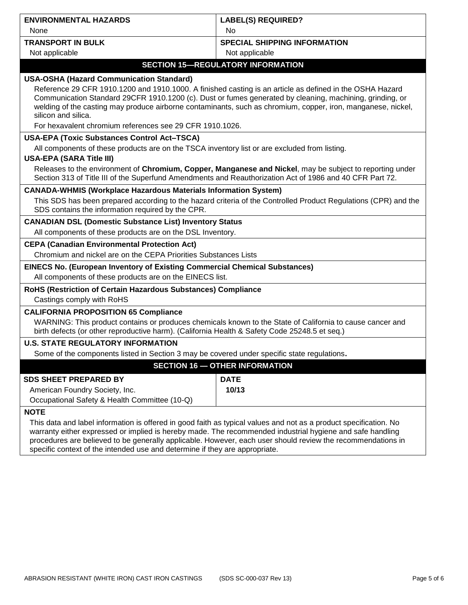| <b>ENVIRONMENTAL HAZARDS</b>                                                                                                                                                                                                                                                                                                                                | <b>LABEL(S) REQUIRED?</b>                                                                                |  |
|-------------------------------------------------------------------------------------------------------------------------------------------------------------------------------------------------------------------------------------------------------------------------------------------------------------------------------------------------------------|----------------------------------------------------------------------------------------------------------|--|
| None                                                                                                                                                                                                                                                                                                                                                        | N <sub>o</sub>                                                                                           |  |
| <b>TRANSPORT IN BULK</b>                                                                                                                                                                                                                                                                                                                                    | <b>SPECIAL SHIPPING INFORMATION</b>                                                                      |  |
| Not applicable                                                                                                                                                                                                                                                                                                                                              | Not applicable                                                                                           |  |
|                                                                                                                                                                                                                                                                                                                                                             | <b>SECTION 15-REGULATORY INFORMATION</b>                                                                 |  |
| <b>USA-OSHA (Hazard Communication Standard)</b>                                                                                                                                                                                                                                                                                                             |                                                                                                          |  |
| Reference 29 CFR 1910.1200 and 1910.1000. A finished casting is an article as defined in the OSHA Hazard<br>Communication Standard 29CFR 1910.1200 (c). Dust or fumes generated by cleaning, machining, grinding, or<br>welding of the casting may produce airborne contaminants, such as chromium, copper, iron, manganese, nickel,<br>silicon and silica. |                                                                                                          |  |
| For hexavalent chromium references see 29 CFR 1910.1026.                                                                                                                                                                                                                                                                                                    |                                                                                                          |  |
| <b>USA-EPA (Toxic Substances Control Act-TSCA)</b>                                                                                                                                                                                                                                                                                                          |                                                                                                          |  |
| All components of these products are on the TSCA inventory list or are excluded from listing.<br><b>USA-EPA (SARA Title III)</b>                                                                                                                                                                                                                            |                                                                                                          |  |
|                                                                                                                                                                                                                                                                                                                                                             | Releases to the environment of Chromium, Copper, Manganese and Nickel, may be subject to reporting under |  |
|                                                                                                                                                                                                                                                                                                                                                             | Section 313 of Title III of the Superfund Amendments and Reauthorization Act of 1986 and 40 CFR Part 72. |  |
| <b>CANADA-WHMIS (Workplace Hazardous Materials Information System)</b>                                                                                                                                                                                                                                                                                      |                                                                                                          |  |
| This SDS has been prepared according to the hazard criteria of the Controlled Product Regulations (CPR) and the<br>SDS contains the information required by the CPR.                                                                                                                                                                                        |                                                                                                          |  |
| <b>CANADIAN DSL (Domestic Substance List) Inventory Status</b>                                                                                                                                                                                                                                                                                              |                                                                                                          |  |
| All components of these products are on the DSL Inventory.                                                                                                                                                                                                                                                                                                  |                                                                                                          |  |
| <b>CEPA (Canadian Environmental Protection Act)</b>                                                                                                                                                                                                                                                                                                         |                                                                                                          |  |
| Chromium and nickel are on the CEPA Priorities Substances Lists                                                                                                                                                                                                                                                                                             |                                                                                                          |  |
| EINECS No. (European Inventory of Existing Commercial Chemical Substances)                                                                                                                                                                                                                                                                                  |                                                                                                          |  |
| All components of these products are on the EINECS list.                                                                                                                                                                                                                                                                                                    |                                                                                                          |  |
| RoHS (Restriction of Certain Hazardous Substances) Compliance                                                                                                                                                                                                                                                                                               |                                                                                                          |  |
| Castings comply with RoHS                                                                                                                                                                                                                                                                                                                                   |                                                                                                          |  |
| <b>CALIFORNIA PROPOSITION 65 Compliance</b>                                                                                                                                                                                                                                                                                                                 |                                                                                                          |  |
| WARNING: This product contains or produces chemicals known to the State of California to cause cancer and<br>birth defects (or other reproductive harm). (California Health & Safety Code 25248.5 et seq.)                                                                                                                                                  |                                                                                                          |  |
| <b>U.S. STATE REGULATORY INFORMATION</b>                                                                                                                                                                                                                                                                                                                    |                                                                                                          |  |
| Some of the components listed in Section 3 may be covered under specific state regulations.                                                                                                                                                                                                                                                                 |                                                                                                          |  |
| <b>SECTION 16 - OTHER INFORMATION</b>                                                                                                                                                                                                                                                                                                                       |                                                                                                          |  |
| <b>SDS SHEET PREPARED BY</b>                                                                                                                                                                                                                                                                                                                                | <b>DATE</b>                                                                                              |  |
| American Foundry Society, Inc.                                                                                                                                                                                                                                                                                                                              | 10/13                                                                                                    |  |
| Occupational Safety & Health Committee (10-Q)                                                                                                                                                                                                                                                                                                               |                                                                                                          |  |
| <b>NOTE</b>                                                                                                                                                                                                                                                                                                                                                 |                                                                                                          |  |
| This data and label information is offered in good faith as typical values and not as a product specification. No<br>warranty either expressed or implied is hereby made. The recommended industrial hygiene and safe handling                                                                                                                              |                                                                                                          |  |

procedures are believed to be generally applicable. However, each user should review the recommendations in specific context of the intended use and determine if they are appropriate.